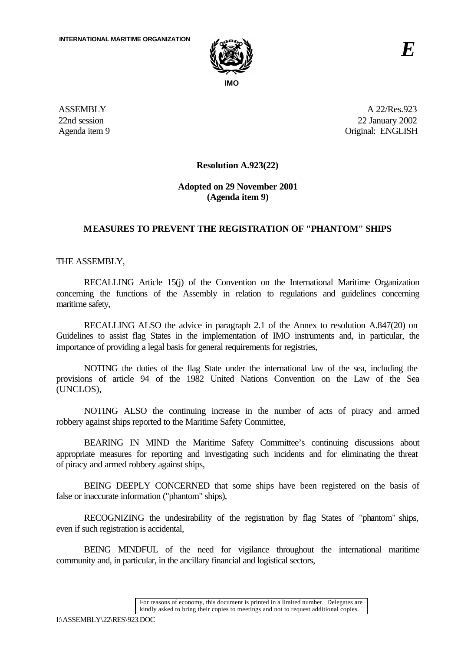

**ASSEMBLY** 22nd session Agenda item 9

A 22/Res.923 22 January 2002 Original: ENGLISH

## **Resolution A.923(22)**

## **Adopted on 29 November 2001 (Agenda item 9)**

## **MEASURES TO PREVENT THE REGISTRATION OF "PHANTOM" SHIPS**

THE ASSEMBLY,

RECALLING Article 15(j) of the Convention on the International Maritime Organization concerning the functions of the Assembly in relation to regulations and guidelines concerning maritime safety,

RECALLING ALSO the advice in paragraph 2.1 of the Annex to resolution A.847(20) on Guidelines to assist flag States in the implementation of IMO instruments and, in particular, the importance of providing a legal basis for general requirements for registries,

NOTING the duties of the flag State under the international law of the sea, including the provisions of article 94 of the 1982 United Nations Convention on the Law of the Sea (UNCLOS),

NOTING ALSO the continuing increase in the number of acts of piracy and armed robbery against ships reported to the Maritime Safety Committee,

BEARING IN MIND the Maritime Safety Committee's continuing discussions about appropriate measures for reporting and investigating such incidents and for eliminating the threat of piracy and armed robbery against ships,

BEING DEEPLY CONCERNED that some ships have been registered on the basis of false or inaccurate information ("phantom" ships),

RECOGNIZING the undesirability of the registration by flag States of "phantom" ships, even if such registration is accidental,

BEING MINDFUL of the need for vigilance throughout the international maritime community and, in particular, in the ancillary financial and logistical sectors,

> For reasons of economy, this document is printed in a limited number. Delegates are kindly asked to bring their copies to meetings and not to request additional copies.